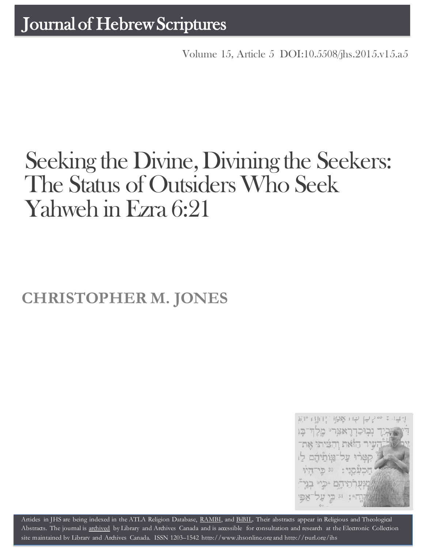Volume 15, Article 5 [DOI:10.5508/jhs.2015.v15.a5](http://dx.doi.org/10.5508/jhs.2015.v15.a5)

# Seeking the Divine, Divining the Seekers: The Status of Outsiders Who Seek Yahweh in Ezra 6:21

## **CHRISTOPHER M. JONES**



Artides in JHS are being indexed in the ATLA Religion Database, [RAMBI,](http://jnul.huji.ac.il/rambi/) and [BiBIL.](http://bibil.net/) Their abstracts appear in Religious and Theological Abstracts. The journal is [archived](http://epe.lac-bac.gc.ca/100/201/300/journal_hebrew/index.html) by Library and Archives Canada and is accessible for consultation and research at the Electronic Collection site maintained by [Library and Archives Canada.](http://collectionscanada.ca/electroniccollection/003008-200-e.html) ISSN 1203–1542 [http://www.jhsonline.org](http://www.jhsonline.org/) and<http://purl.org/jhs>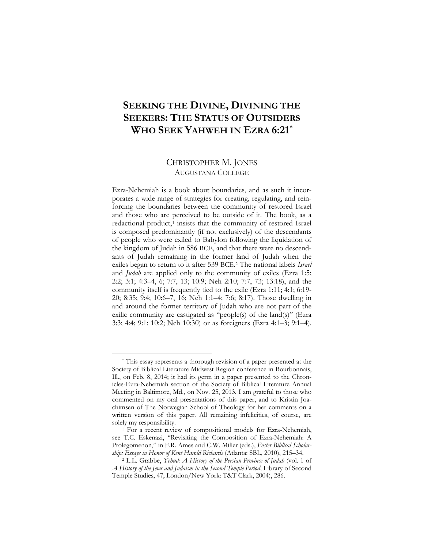### **SEEKING THE DIVINE, DIVINING THE SEEKERS: THE STATUS OF OUTSIDERS WHO SEEK YAHWEH IN EZRA 6:21[\\*](#page-1-0)**

#### CHRISTOPHER M. JONES AUGUSTANA COLLEGE

Ezra-Nehemiah is a book about boundaries, and as such it incorporates a wide range of strategies for creating, regulating, and reinforcing the boundaries between the community of restored Israel and those who are perceived to be outside of it. The book, as a redactional product,<sup>[1](#page-1-1)</sup> insists that the community of restored Israel is composed predominantly (if not exclusively) of the descendants of people who were exiled to Babylon following the liquidation of the kingdom of Judah in 586 BCE, and that there were no descendants of Judah remaining in the former land of Judah when the exiles began to return to it after 539 BCE.[2](#page-1-2) The national labels *Israel* and *Judah* are applied only to the community of exiles (Ezra 1:5; 2:2; 3:1; 4:3–4, 6; 7:7, 13; 10:9; Neh 2:10; 7:7, 73; 13:18), and the community itself is frequently tied to the exile (Ezra 1:11; 4:1; 6:19- 20; 8:35; 9:4; 10:6–7, 16; Neh 1:1–4; 7:6; 8:17). Those dwelling in and around the former territory of Judah who are not part of the exilic community are castigated as "people(s) of the land(s)" (Ezra 3:3; 4:4; 9:1; 10:2; Neh 10:30) or as foreigners (Ezra 4:1–3; 9:1–4).

<span id="page-1-0"></span><sup>\*</sup> This essay represents a thorough revision of a paper presented at the Society of Biblical Literature Midwest Region conference in Bourbonnais, Ill., on Feb. 8, 2014; it had its germ in a paper presented to the Chronicles-Ezra-Nehemiah section of the Society of Biblical Literature Annual Meeting in Baltimore, Md., on Nov. 25, 2013. I am grateful to those who commented on my oral presentations of this paper, and to Kristin Joachimsen of The Norwegian School of Theology for her comments on a written version of this paper. All remaining infelicities, of course, are solely my responsibility.

<span id="page-1-1"></span><sup>&</sup>lt;sup>1</sup> For a recent review of compositional models for Ezra-Nehemiah, see T.C. Eskenazi, "Revisiting the Composition of Ezra-Nehemiah: A Prolegomenon," in F.R. Ames and C.W. Miller (eds.), *Foster Biblical Scholarship: Essays in Honor of Kent Harold Richards* (Atlanta: SBL, 2010), 215–34.

<span id="page-1-2"></span><sup>2</sup> L.L. Grabbe, *Yehud: A History of the Persian Province of Judah* (vol. 1 of *A History of the Jews and Judaism in the Second Temple Period*; Library of Second Temple Studies, 47; London/New York: T&T Clark, 2004), 286.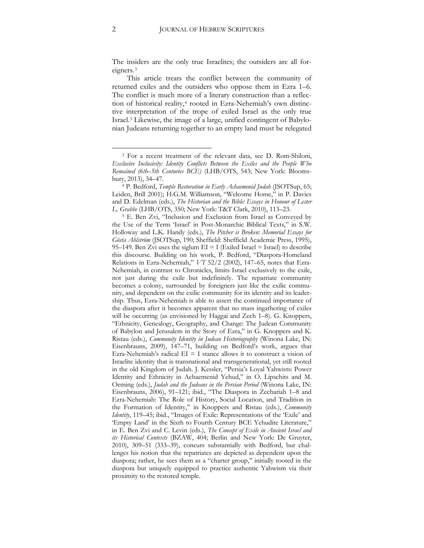The insiders are the only true Israelites; the outsiders are all foreigners.[3](#page-2-0)

This article treats the conflict between the community of returned exiles and the outsiders who oppose them in Ezra 1–6. The conflict is much more of a literary construction than a reflec-tion of historical reality,<sup>[4](#page-2-1)</sup> rooted in Ezra-Nehemiah's own distinctive interpretation of the trope of exiled Israel as the only true Israel.[5](#page-2-2) Likewise, the image of a large, unified contingent of Babylonian Judeans returning together to an empty land must be relegated

<span id="page-2-0"></span><sup>3</sup> For a recent treatment of the relevant data, see D. Rom-Shiloni, *Exclusive Inclusivity: Identity Conflicts Between the Exiles and the People Who Remained (6th–5th Centuries BCE)* (LHB/OTS, 543; New York: Blooms-

<span id="page-2-1"></span>bury, 2013), 34–47. 4 P. Bedford, *Temple Restoration in Early Achaemenid Judah* (JSOTSup, 65; Leiden, Brill 2001); H.G.M. Williamson, "Welcome Home," in P. Davies and D. Edelman (eds.), *The Historian and the Bible: Essays in Honour of Lester L. Grabbe* (LHB/OTS, 350; New York: T&T Clark, 2010), 113–23.

<span id="page-2-2"></span><sup>5</sup> E. Ben Zvi, "Inclusion and Exclusion from Israel as Conveyed by the Use of the Term 'Israel' in Post-Monarchic Biblical Texts," in S.W. Holloway and L.K. Handy (eds.), *The Pitcher is Broken: Memorial Essays for Gösta Ahlström* (JSOTSup, 190; Sheffield: Sheffield Academic Press, 1995), 95–149. Ben Zvi uses the siglum  $EI = I$  (Exiled Israel = Israel) to describe this discourse. Building on his work, P. Bedford, "Diaspora-Homeland Relations in Ezra-Nehemiah," *VT* 52/2 (2002), 147–65, notes that Ezra-Nehemiah, in contrast to Chronicles, limits Israel exclusively to the exile, not just during the exile but indefinitely. The repatriate community becomes a colony, surrounded by foreigners just like the exilic community, and dependent on the exilic community for its identity and its leadership. Thus, Ezra-Nehemiah is able to assert the continued importance of the diaspora after it becomes apparent that no mass ingathering of exiles will be occurring (as envisioned by Haggai and Zech 1–8). G. Knoppers, "Ethnicity, Genealogy, Geography, and Change: The Judean Community of Babylon and Jerusalem in the Story of Ezra," in G. Knoppers and K. Ristau (eds.), *Community Identity in Judean Historiography* (Winona Lake, IN: Eisenbrauns, 2009), 147–71, building on Bedford's work, argues that Ezra-Nehemiah's radical  $EI = I$  stance allows it to construct a vision of Israelite identity that is transnational and transgenerational, yet still rooted in the old Kingdom of Judah. J. Kessler, "Persia's Loyal Yahwists: Power Identity and Ethnicity in Achaemenid Yehud," in O. Lipschits and M. Oeming (eds.), *Judah and the Judeans in the Persian Period* (Winona Lake, IN: Eisenbrauns, 2006), 91–121; ibid., "The Diaspora in Zechariah 1–8 and Ezra-Nehemiah: The Role of History, Social Location, and Tradition in the Formation of Identity," in Knoppers and Ristau (eds.), *Community Identity*, 119–45; ibid., "Images of Exile: Representations of the 'Exile' and 'Empty Land' in the Sixth to Fourth Century BCE Yehudite Literature," in E. Ben Zvi and C. Levin (eds.), *The Concept of Exile in Ancient Israel and its Historical Contexts* (BZAW, 404; Berlin and New York: De Gruyter, 2010), 309–51 (333–39), concurs substantially with Bedford, but challenges his notion that the repatriates are depicted as dependent upon the diaspora; rather, he sees them as a "charter group," initially rooted in the diaspora but uniquely equipped to practice authentic Yahwism via their proximity to the restored temple.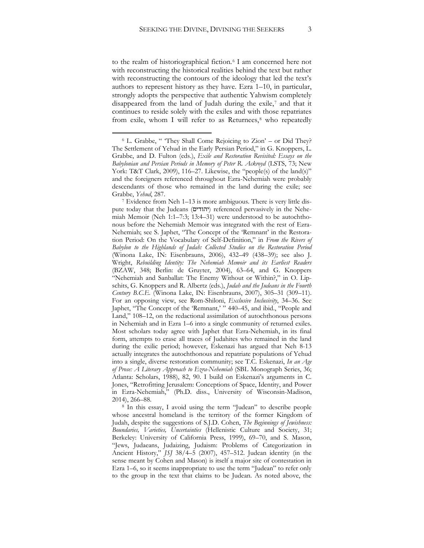to the realm of historiographical fiction.<sup>[6](#page-3-0)</sup> I am concerned here not with reconstructing the historical realities behind the text but rather with reconstructing the contours of the ideology that led the text's authors to represent history as they have. Ezra 1–10, in particular, strongly adopts the perspective that authentic Yahwism completely disappeared from the land of Judah during the exile,<sup>[7](#page-3-1)</sup> and that it continues to reside solely with the exiles and with those repatriates from exile, whom I will refer to as Returnees,<sup>[8](#page-3-2)</sup> who repeatedly

 $\overline{a}$ 

<span id="page-3-2"></span><sup>8</sup> In this essay, I avoid using the term "Judean" to describe people whose ancestral homeland is the territory of the former Kingdom of Judah, despite the suggestions of S.J.D. Cohen, *The Beginnings of Jewishness: Boundaries, Varieties, Uncertainties* (Hellenistic Culture and Society, 31; Berkeley: University of California Press, 1999), 69–70, and S. Mason, "Jews, Judaeans, Judaizing, Judaism: Problems of Categorization in Ancient History," *JSJ* 38/4–5 (2007), 457–512. Judean identity (in the sense meant by Cohen and Mason) is itself a major site of contestation in Ezra 1–6, so it seems inappropriate to use the term "Judean" to refer only to the group in the text that claims to be Judean. As noted above, the

<span id="page-3-0"></span> $6$  L. Grabbe, " They Shall Come Rejoicing to Zion' – or Did They? The Settlement of Yehud in the Early Persian Period," in G. Knoppers, L. Grabbe, and D. Fulton (eds.), *Exile and Restoration Revisited: Essays on the Babylonian and Persian Periods in Memory of Peter R. Ackroyd* (LSTS, 73; New York: T&T Clark, 2009), 116-27. Likewise, the "people(s) of the land(s)" and the foreigners referenced throughout Ezra-Nehemiah were probably descendants of those who remained in the land during the exile; see Grabbe, *Yehud*, 287.

<span id="page-3-1"></span><sup>7</sup> Evidence from Neh 1–13 is more ambiguous. There is very little dispute today that the Judeans (יהודים) referenced pervasively in the Nehemiah Memoir (Neh 1:1–7:3; 13:4–31) were understood to be autochthonous before the Nehemiah Memoir was integrated with the rest of Ezra-Nehemiah; see S. Japhet, "The Concept of the 'Remnant' in the Restoration Period: On the Vocabulary of Self-Definition," in *From the Rivers of Babylon to the Highlands of Judah: Collected Studies on the Restoration Period* (Winona Lake, IN: Eisenbrauns, 2006), 432–49 (438–39); see also J. Wright, *Rebuilding Identity: The Nehemiah Memoir and its Earliest Readers* (BZAW, 348; Berlin: de Gruyter, 2004), 63–64, and G. Knoppers "Nehemiah and Sanballat: The Enemy Without or Within?," in O. Lipschits, G. Knoppers and R. Albertz (eds.), *Judah and the Judeans in the Fourth Century B.C.E.* (Winona Lake, IN: Eisenbrauns, 2007), 305–31 (309–11). For an opposing view, see Rom-Shiloni, *Exclusive Inclusivity*, 34–36. See Japhet, "The Concept of the 'Remnant,' " 440–45, and ibid., "People and Land," 108–12, on the redactional assimilation of autochthonous persons in Nehemiah and in Ezra 1–6 into a single community of returned exiles. Most scholars today agree with Japhet that Ezra-Nehemiah, in its final form, attempts to erase all traces of Judahites who remained in the land during the exilic period; however, Eskenazi has argued that Neh 8-13 actually integrates the autochthonous and repatriate populations of Yehud into a single, diverse restoration community; see T.C. Eskenazi, *In an Age of Prose: A Literary Approach to Ezra-Nehemiah* (SBL Monograph Series, 36; Atlanta: Scholars, 1988), 82, 90. I build on Eskenazi's arguments in C. Jones, "Retrofitting Jerusalem: Conceptions of Space, Identity, and Power in Ezra-Nehemiah," (Ph.D. diss., University of Wisconsin-Madison, 2014), 266–88.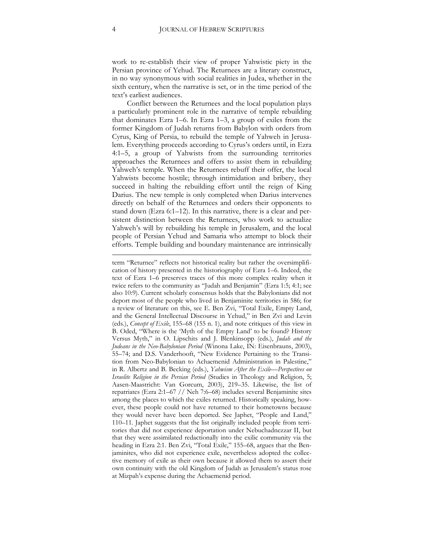work to re-establish their view of proper Yahwistic piety in the Persian province of Yehud. The Returnees are a literary construct, in no way synonymous with social realities in Judea, whether in the sixth century, when the narrative is set, or in the time period of the text's earliest audiences.

Conflict between the Returnees and the local population plays a particularly prominent role in the narrative of temple rebuilding that dominates Ezra 1–6. In Ezra 1–3, a group of exiles from the former Kingdom of Judah returns from Babylon with orders from Cyrus, King of Persia, to rebuild the temple of Yahweh in Jerusalem. Everything proceeds according to Cyrus's orders until, in Ezra 4:1–5, a group of Yahwists from the surrounding territories approaches the Returnees and offers to assist them in rebuilding Yahweh's temple. When the Returnees rebuff their offer, the local Yahwists become hostile; through intimidation and bribery, they succeed in halting the rebuilding effort until the reign of King Darius. The new temple is only completed when Darius intervenes directly on behalf of the Returnees and orders their opponents to stand down (Ezra 6:1–12). In this narrative, there is a clear and persistent distinction between the Returnees, who work to actualize Yahweh's will by rebuilding his temple in Jerusalem, and the local people of Persian Yehud and Samaria who attempt to block their efforts. Temple building and boundary maintenance are intrinsically

term "Returnee" reflects not historical reality but rather the oversimplification of history presented in the historiography of Ezra 1–6. Indeed, the text of Ezra 1–6 preserves traces of this more complex reality when it twice refers to the community as "Judah and Benjamin" (Ezra 1:5; 4:1; see also 10:9). Current scholarly consensus holds that the Babylonians did not deport most of the people who lived in Benjaminite territories in 586; for a review of literature on this, see E. Ben Zvi, "Total Exile, Empty Land, and the General Intellectual Discourse in Yehud," in Ben Zvi and Levin (eds.), *Concept of Exile*, 155–68 (155 n. 1), and note critiques of this view in B. Oded, "Where is the 'Myth of the Empty Land' to be found? History Versus Myth," in O. Lipschits and J. Blenkinsopp (eds.), *Judah and the Judeans in the Neo-Babylonian Period* (Winona Lake, IN: Eisenbrauns, 2003), 55–74; and D.S. Vanderhooft, "New Evidence Pertaining to the Transition from Neo-Babylonian to Achaemenid Administration in Palestine," in R. Albertz and B. Becking (eds.), *Yahwism After the Exile—Perspectives on Israelite Religion in the Persian Period* (Studies in Theology and Religion, 5; Aasen-Maastricht: Van Gorcum, 2003), 219–35. Likewise, the list of repatriates (Ezra 2:1–67 // Neh 7:6–68) includes several Benjaminite sites among the places to which the exiles returned. Historically speaking, however, these people could not have returned to their hometowns because they would never have been deported. See Japhet, "People and Land," 110–11. Japhet suggests that the list originally included people from territories that did not experience deportation under Nebuchadnezzar II, but that they were assimilated redactionally into the exilic community via the heading in Ezra 2:1. Ben Zvi, "Total Exile," 155–68, argues that the Benjaminites, who did not experience exile, nevertheless adopted the collective memory of exile as their own because it allowed them to assert their own continuity with the old Kingdom of Judah as Jerusalem's status rose at Mizpah's expense during the Achaemenid period.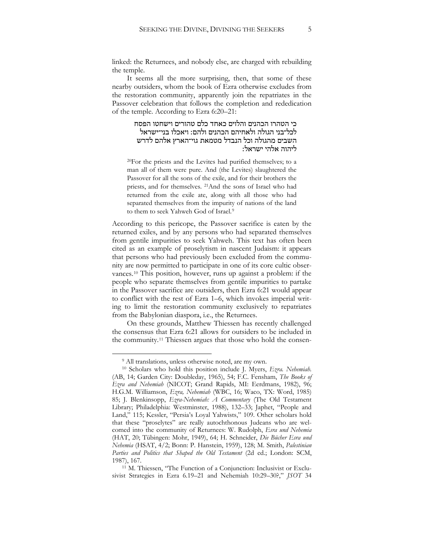linked: the Returnees, and nobody else, are charged with rebuilding the temple.

It seems all the more surprising, then, that some of these nearby outsiders, whom the book of Ezra otherwise excludes from the restoration community, apparently join the repatriates in the Passover celebration that follows the completion and rededication of the temple. According to Ezra 6:20–21:

> כי הטהרו הכהנים והלוים כאחד כלם טהורים וישחטו הפסח לכל־בני הגולה ולאחיהם הכהנים ולהם׃ ויאכלו בני־ישראל השבים מהגולה וכל הנבדל מטמאת גוי־הארץ אלהם לדרש ליהוה אלהי ישראל׃

20For the priests and the Levites had purified themselves; to a man all of them were pure. And (the Levites) slaughtered the Passover for all the sons of the exile, and for their brothers the priests, and for themselves. 21And the sons of Israel who had returned from the exile ate, along with all those who had separated themselves from the impurity of nations of the land to them to seek Yahweh God of Israel.<sup>9</sup>

According to this pericope, the Passover sacrifice is eaten by the returned exiles, and by any persons who had separated themselves from gentile impurities to seek Yahweh. This text has often been cited as an example of proselytism in nascent Judaism: it appears that persons who had previously been excluded from the community are now permitted to participate in one of its core cultic observances.<sup>10</sup> This position, however, runs up against a problem: if the people who separate themselves from gentile impurities to partake in the Passover sacrifice are outsiders, then Ezra 6:21 would appear to conflict with the rest of Ezra 1–6, which invokes imperial writing to limit the restoration community exclusively to repatriates from the Babylonian diaspora, i.e., the Returnees.

On these grounds, Matthew Thiessen has recently challenged the consensus that Ezra 6:21 allows for outsiders to be included in the community.<sup>11</sup> Thiessen argues that those who hold the consen-

<sup>&</sup>lt;sup>9</sup> All translations, unless otherwise noted, are my own.

<sup>10</sup> Scholars who hold this position include J. Myers, *Ezra. Nehemiah.*  (AB, 14; Garden City: Doubleday, 1965), 54; F.C. Fensham, *The Books of Ezra and Nehemiah* (NICOT; Grand Rapids, MI: Eerdmans, 1982), 96; H.G.M. Williamson, *Ezra, Nehemiah* (WBC, 16; Waco, TX: Word, 1985) 85; J. Blenkinsopp, *Ezra-Nehemiah: A Commentary* (The Old Testament Library; Philadelphia: Westminster, 1988), 132–33; Japhet, "People and Land," 115; Kessler, "Persia's Loyal Yahwists," 109. Other scholars hold that these "proselytes" are really autochthonous Judeans who are welcomed into the community of Returnees: W. Rudolph, *Esra und Nehemia* (HAT, 20; Tübingen: Mohr, 1949), 64; H. Schneider, *Die Bücher Esra und Nehemia* (HSAT, 4/2; Bonn: P. Hanstein, 1959), 128; M. Smith, *Palestinian Parties and Politics that Shaped the Old Testament* (2d ed.; London: SCM, 1987), 167.

<sup>11</sup> M. Thiessen, "The Function of a Conjunction: Inclusivist or Exclusivist Strategies in Ezra 6.19–21 and Nehemiah 10:29–30?," *JSOT* 34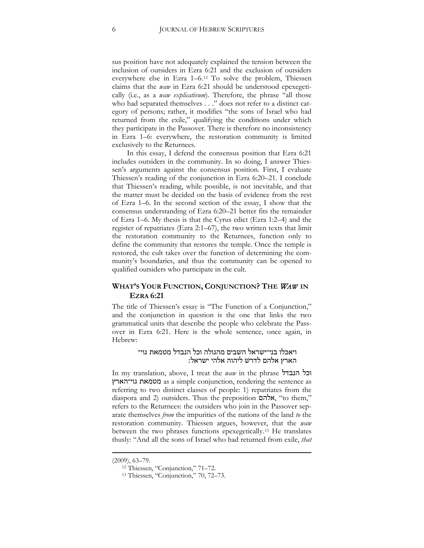sus position have not adequately explained the tension between the inclusion of outsiders in Ezra 6:21 and the exclusion of outsiders everywhere else in Ezra 1–6.[12](#page-6-0) To solve the problem, Thiessen claims that the *waw* in Ezra 6:21 should be understood epexegetically (i.e., as a *waw explicativum*). Therefore, the phrase "all those who had separated themselves . . ." does not refer to a distinct category of persons; rather, it modifies "the sons of Israel who had returned from the exile," qualifying the conditions under which they participate in the Passover. There is therefore no inconsistency in Ezra 1–6: everywhere, the restoration community is limited exclusively to the Returnees.

In this essay, I defend the consensus position that Ezra 6:21 includes outsiders in the community. In so doing, I answer Thiessen's arguments against the consensus position. First, I evaluate Thiessen's reading of the conjunction in Ezra 6:20–21. I conclude that Thiessen's reading, while possible, is not inevitable, and that the matter must be decided on the basis of evidence from the rest of Ezra 1–6. In the second section of the essay, I show that the consensus understanding of Ezra 6:20–21 better fits the remainder of Ezra 1–6. My thesis is that the Cyrus edict (Ezra 1:2–4) and the register of repatriates (Ezra 2:1–67), the two written texts that limit the restoration community to the Returnees, function only to define the community that restores the temple. Once the temple is restored, the cult takes over the function of determining the community's boundaries, and thus the community can be opened to qualified outsiders who participate in the cult.

#### **WHAT'S YOUR FUNCTION, CONJUNCTION? THE** WAW **IN EZRA 6:21**

The title of Thiessen's essay is "The Function of a Conjunction," and the conjunction in question is the one that links the two grammatical units that describe the people who celebrate the Passover in Ezra 6:21. Here is the whole sentence, once again, in Hebrew:

#### ויאכלו בני־ישראל השבים מהגולה וכל הנבדל מטמאת גוי־ הארץ אלהם לדרשׁ ליהוה אלהי ישראל׃

In my translation, above, I treat the *waw* in the phrase הנבדל וכל גוי־הארץ מטמאת as a simple conjunction, rendering the sentence as referring to two distinct classes of people: 1) repatriates from the diaspora and 2) outsiders. Thus the preposition אלהם," to them," refers to the Returnees: the outsiders who join in the Passover separate themselves *from* the impurities of the nations of the land *to* the restoration community. Thiessen argues, however, that the *waw*  between the two phrases functions epexegetically.<sup>13</sup> He translates thusly: "And all the sons of Israel who had returned from exile, *that* 

<span id="page-6-0"></span><sup>(2009), 63–79.</sup>

<sup>12</sup> Thiessen, "Conjunction," 71–72.

<sup>13</sup> Thiessen, "Conjunction," 70, 72–73.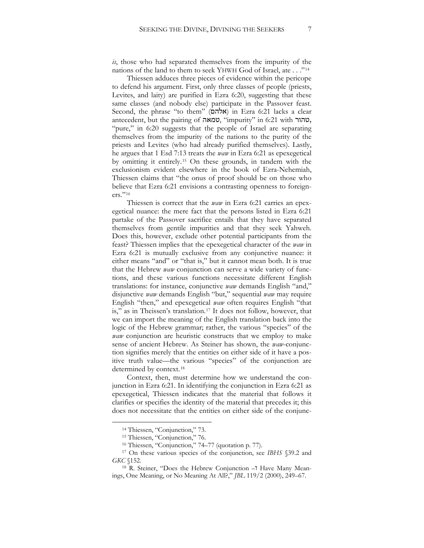*is*, those who had separated themselves from the impurity of the nations of the land to them to seek YHWH God of Israel, ate . . ."[14](#page-7-0)

Thiessen adduces three pieces of evidence within the pericope to defend his argument. First, only three classes of people (priests, Levites, and laity) are purified in Ezra 6:20, suggesting that these same classes (and nobody else) participate in the Passover feast. Second, the phrase "to them" (אלהם) in Ezra 6:21 lacks a clear antecedent, but the pairing of טמאה," impurity" in 6:21 with טהור, "pure," in 6:20 suggests that the people of Israel are separating themselves from the impurity of the nations to the purity of the priests and Levites (who had already purified themselves). Lastly, he argues that 1 Esd 7:13 treats the *waw* in Ezra 6:21 as epexegetical by omitting it entirely.<sup>15</sup> On these grounds, in tandem with the exclusionism evident elsewhere in the book of Ezra-Nehemiah, Thiessen claims that "the onus of proof should be on those who believe that Ezra 6:21 envisions a contrasting openness to foreigners."<sup>16</sup>

Thiessen is correct that the *waw* in Ezra 6:21 carries an epexegetical nuance: the mere fact that the persons listed in Ezra 6:21 partake of the Passover sacrifice entails that they have separated themselves from gentile impurities and that they seek Yahweh. Does this, however, exclude other potential participants from the feast? Thiessen implies that the epexegetical character of the *waw* in Ezra 6:21 is mutually exclusive from any conjunctive nuance: it either means "and" or "that is," but it cannot mean both. It is true that the Hebrew *waw* conjunction can serve a wide variety of functions, and these various functions necessitate different English translations: for instance, conjunctive *waw* demands English "and," disjunctive *waw* demands English "but," sequential *waw* may require English "then," and epexegetical *waw* often requires English "that is," as in Theissen's translation.<sup>17</sup> It does not follow, however, that we can import the meaning of the English translation back into the logic of the Hebrew grammar; rather, the various "species" of the *waw* conjunction are heuristic constructs that we employ to make sense of ancient Hebrew. As Steiner has shown, the *waw*-conjunction signifies merely that the entities on either side of it have a positive truth value—the various "species" of the conjunction are determined by context.<sup>18</sup>

Context, then, must determine how we understand the conjunction in Ezra 6:21. In identifying the conjunction in Ezra 6:21 as epexegetical, Thiessen indicates that the material that follows it clarifies or specifies the identity of the material that precedes it; this does not necessitate that the entities on either side of the conjunc-

<sup>&</sup>lt;sup>14</sup> Thiessen, "Conjunction," 73.

<sup>15</sup> Thiessen, "Conjunction," 76.

<sup>16</sup> Thiessen, "Conjunction," 74–77 (quotation p. 77).

<span id="page-7-0"></span><sup>17</sup> On these various species of the conjunction, see *IBHS* §39.2 and *GKC* §152.

<sup>18</sup> R. Steiner, "Does the Hebrew Conjunction -1 Have Many Meanings, One Meaning, or No Meaning At All?," *JBL* 119/2 (2000), 249–67.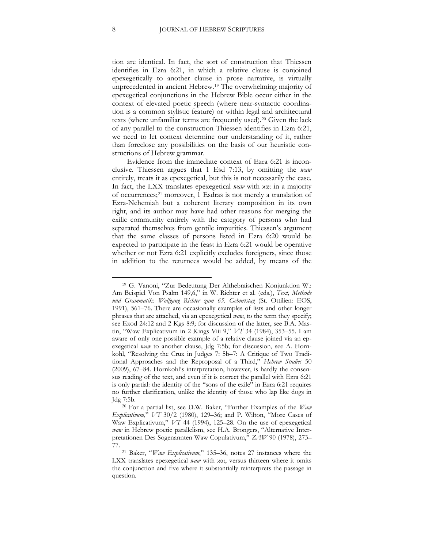tion are identical. In fact, the sort of construction that Thiessen identifies in Ezra 6:21, in which a relative clause is conjoined epexegetically to another clause in prose narrative, is virtually unprecedented in ancient Hebrew.[19](#page-8-0) The overwhelming majority of epexegetical conjunctions in the Hebrew Bible occur either in the context of elevated poetic speech (where near-syntactic coordination is a common stylistic feature) or within legal and architectural texts (where unfamiliar terms are frequently used).[20](#page-8-1) Given the lack of any parallel to the construction Thiessen identifies in Ezra 6:21, we need to let context determine our understanding of it, rather than foreclose any possibilities on the basis of our heuristic constructions of Hebrew grammar.

Evidence from the immediate context of Ezra 6:21 is inconclusive. Thiessen argues that 1 Esd 7:13, by omitting the *waw* entirely, treats it as epexegetical, but this is not necessarily the case. In fact, the LXX translates epexegetical *waw* with και in a majority of occurrences;[21](#page-8-2) moreover, 1 Esdras is not merely a translation of Ezra-Nehemiah but a coherent literary composition in its own right, and its author may have had other reasons for merging the exilic community entirely with the category of persons who had separated themselves from gentile impurities. Thiessen's argument that the same classes of persons listed in Ezra 6:20 would be expected to participate in the feast in Ezra 6:21 would be operative whether or not Ezra 6:21 explicitly excludes foreigners, since those in addition to the returnees would be added, by means of the

<span id="page-8-0"></span><sup>19</sup> G. Vanoni, "Zur Bedeutung Der Althebraischen Konjunktion W.: Am Beispiel Von Psalm 149,6," in W. Richter et al. (eds.), *Text, Methode und Grammatik: Wolfgang Richter zum 65. Geburtstag* (St. Ottilien: EOS, 1991), 561–76. There are occasionally examples of lists and other longer phrases that are attached, via an epexegetical *waw*, to the term they specify; see Exod 24:12 and 2 Kgs 8:9; for discussion of the latter, see B.A. Mastin, "Waw Explicativum in 2 Kings Viii 9," *VT* 34 (1984), 353–55. I am aware of only one possible example of a relative clause joined via an epexegetical *waw* to another clause, Jdg 7:5b; for discussion, see A. Hornkohl, "Resolving the Crux in Judges 7: 5b–7: A Critique of Two Traditional Approaches and the Reproposal of a Third," *Hebrew Studies* 50 (2009), 67–84. Hornkohl's interpretation, however, is hardly the consensus reading of the text, and even if it is correct the parallel with Ezra 6:21 is only partial: the identity of the "sons of the exile" in Ezra 6:21 requires no further clarification, unlike the identity of those who lap like dogs in Jdg 7:5b.

<span id="page-8-1"></span><sup>20</sup> For a partial list, see D.W. Baker, "Further Examples of the *Waw Explicativum*," *VT* 30/2 (1980), 129–36; and P. Wilton, "More Cases of Waw Explicativum," *VT* 44 (1994), 125–28. On the use of epexegetical *waw* in Hebrew poetic parallelism, see H.A. Brongers, "Alternative Interpretationen Des Sogenannten Waw Copulativum," *ZAW* 90 (1978), 273–

<span id="page-8-2"></span><sup>&</sup>lt;sup>21</sup> Baker, "*Waw Explicativum*," 135–36, notes 27 instances where the LXX translates epexegetical *waw* with και, versus thirteen where it omits the conjunction and five where it substantially reinterprets the passage in question.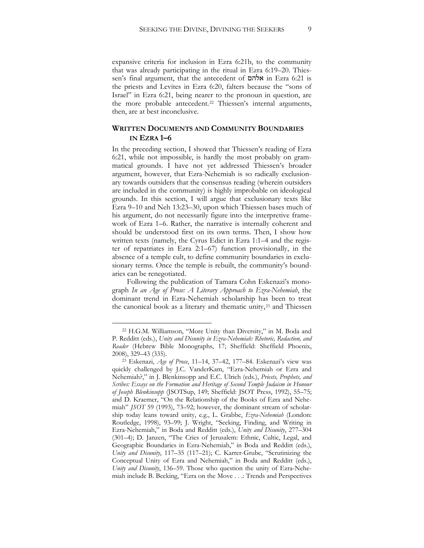expansive criteria for inclusion in Ezra 6:21b, to the community that was already participating in the ritual in Ezra 6:19–20. Thiessen's final argument, that the antecedent of אלהם in Ezra 6:21 is the priests and Levites in Ezra 6:20, falters because the "sons of Israel" in Ezra 6:21, being nearer to the pronoun in question, are the more probable antecedent.<sup>22</sup> Thiessen's internal arguments, then, are at best inconclusive.

#### **WRITTEN DOCUMENTS AND COMMUNITY BOUNDARIES IN EZRA 1–6**

In the preceding section, I showed that Thiessen's reading of Ezra 6:21, while not impossible, is hardly the most probably on grammatical grounds. I have not yet addressed Thiessen's broader argument, however, that Ezra-Nehemiah is so radically exclusionary towards outsiders that the consensus reading (wherein outsiders are included in the community) is highly improbable on ideological grounds. In this section, I will argue that exclusionary texts like Ezra 9–10 and Neh 13:23–30, upon which Thiessen bases much of his argument, do not necessarily figure into the interpretive framework of Ezra 1–6. Rather, the narrative is internally coherent and should be understood first on its own terms. Then, I show how written texts (namely, the Cyrus Edict in Ezra 1:1–4 and the register of repatriates in Ezra 2:1–67) function provisionally, in the absence of a temple cult, to define community boundaries in exclusionary terms. Once the temple is rebuilt, the community's boundaries can be renegotiated.

Following the publication of Tamara Cohn Eskenazi's monograph *In an Age of Prose: A Literary Approach to Ezra-Nehemiah*, the dominant trend in Ezra-Nehemiah scholarship has been to treat the canonical book as a literary and thematic unity,<sup>23</sup> and Thiessen

<sup>22</sup> H.G.M. Williamson, "More Unity than Diversity," in M. Boda and P. Redditt (eds.), *Unity and Disunity in Ezra-Nehemiah: Rhetoric, Redaction, and Reader* (Hebrew Bible Monographs, 17; Sheffield: Sheffield Phoenix, 2008), 329–43 (335).

<sup>23</sup> Eskenazi, *Age of Prose*, 11–14, 37–42, 177–84. Eskenazi's view was quickly challenged by J.C. VanderKam, "Ezra-Nehemiah or Ezra and Nehemiah?," in J. Blenkinsopp and E.C. Ulrich (eds.), *Priests, Prophets, and Scribes: Essays on the Formation and Heritage of Second Temple Judaism in Honour of Joseph Blenkinsopp* (JSOTSup, 149; Sheffield: JSOT Press, 1992), 55–75; and D. Kraemer, "On the Relationship of the Books of Ezra and Nehemiah" *JSOT* 59 (1993), 73–92; however, the dominant stream of scholarship today leans toward unity, e.g., L. Grabbe, *Ezra-Nehemiah* (London: Routledge, 1998), 93–99; J. Wright, "Seeking, Finding, and Writing in Ezra-Nehemiah," in Boda and Redditt (eds.), *Unity and Disunity*, 277–304 (301–4); D. Janzen, "The Cries of Jerusalem: Ethnic, Cultic, Legal, and Geographic Boundaries in Ezra-Nehemiah," in Boda and Redditt (eds.), *Unity and Disunity*, 117–35 (117–21); C. Karrer-Grube, "Scrutinizing the Conceptual Unity of Ezra and Nehemiah," in Boda and Redditt (eds.), *Unity and Disunity*, 136–59. Those who question the unity of Ezra-Nehemiah include B. Becking, "Ezra on the Move . . .: Trends and Perspectives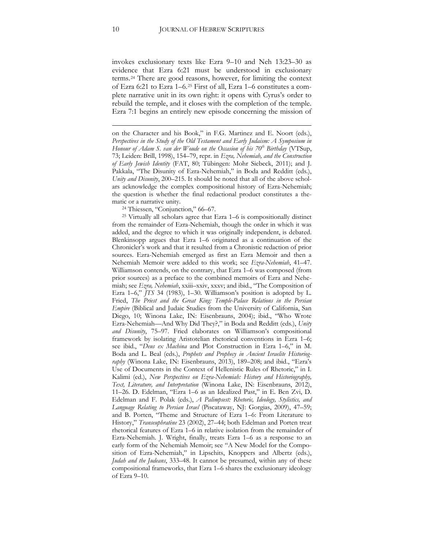invokes exclusionary texts like Ezra 9–10 and Neh 13:23–30 as evidence that Ezra 6:21 must be understood in exclusionary terms.[24](#page-10-0) There are good reasons, however, for limiting the context of Ezra 6:21 to Ezra 1–6.[25](#page-10-1) First of all, Ezra 1–6 constitutes a complete narrative unit in its own right: it opens with Cyrus's order to rebuild the temple, and it closes with the completion of the temple. Ezra 7:1 begins an entirely new episode concerning the mission of

on the Character and his Book," in F.G. Martinez and E. Noort (eds.), *Perspectives in the Study of the Old Testament and Early Judaism: A Symposium in Honour of Adam S. van der Woude on the Occasion of his 70<sup>th</sup> Birthday* (VTSup, 73; Leiden: Brill, 1998), 154–79, repr. in *Ezra, Nehemiah, and the Construction of Early Jewish Identity* (FAT, 80; Tübingen: Mohr Siebeck, 2011); and J. Pakkala, "The Disunity of Ezra-Nehemiah," in Boda and Redditt (eds.), *Unity and Disunity*, 200–215. It should be noted that all of the above scholars acknowledge the complex compositional history of Ezra-Nehemiah; the question is whether the final redactional product constitutes a thematic or a narrative unity.

<sup>24</sup> Thiessen, "Conjunction," 66–67.

<span id="page-10-1"></span><span id="page-10-0"></span><sup>25</sup> Virtually all scholars agree that Ezra 1–6 is compositionally distinct from the remainder of Ezra-Nehemiah, though the order in which it was added, and the degree to which it was originally independent, is debated. Blenkinsopp argues that Ezra 1–6 originated as a continuation of the Chronicler's work and that it resulted from a Chronistic redaction of prior sources. Ezra-Nehemiah emerged as first an Ezra Memoir and then a Nehemiah Memoir were added to this work; see *Ezra-Nehemiah*, 41–47. Williamson contends, on the contrary, that Ezra 1–6 was composed (from prior sources) as a preface to the combined memoirs of Ezra and Nehemiah; see *Ezra, Nehemiah*, xxiii–xxiv, xxxv; and ibid., "The Composition of Ezra 1–6," *JTS* 34 (1983), 1–30. Williamson's position is adopted by L. Fried, *The Priest and the Great King: Temple-Palace Relations in the Persian Empire* (Biblical and Judaic Studies from the University of California, San Diego, 10; Winona Lake, IN: Eisenbrauns, 2004); ibid., "Who Wrote Ezra-Nehemiah—And Why Did They?," in Boda and Redditt (eds.), *Unity and Disunity*, 75–97. Fried elaborates on Williamson's compositional framework by isolating Aristotelian rhetorical conventions in Ezra 1–6; see ibid., "*Deus ex Machina* and Plot Construction in Ezra 1–6," in M. Boda and L. Beal (eds.), *Prophets and Prophecy in Ancient Israelite Historiography* (Winona Lake, IN: Eisenbrauns, 2013), 189–208; and ibid., "Ezra's Use of Documents in the Context of Hellenistic Rules of Rhetoric," in I. Kalimi (ed.), *New Perspectives on Ezra-Nehemiah: History and Historiography, Text, Literature, and Interpretation* (Winona Lake, IN: Eisenbrauns, 2012), 11–26. D. Edelman, "Ezra 1–6 as an Idealized Past," in E. Ben Zvi, D. Edelman and F. Polak (eds.), *A Palimpsest: Rhetoric, Ideology, Stylistics, and Language Relating to Persian Israel* (Piscataway, NJ: Gorgias, 2009), 47–59; and B. Porten, "Theme and Structure of Ezra 1–6: From Literature to History," *Transeuphratène* 23 (2002), 27–44; both Edelman and Porten treat rhetorical features of Ezra 1–6 in relative isolation from the remainder of Ezra-Nehemiah. J. Wright, finally, treats Ezra 1–6 as a response to an early form of the Nehemiah Memoir; see "A New Model for the Composition of Ezra-Nehemiah," in Lipschits, Knoppers and Albertz (eds.), *Judah and the Judeans*, 333–48. It cannot be presumed, within any of these compositional frameworks, that Ezra 1–6 shares the exclusionary ideology of Ezra 9–10.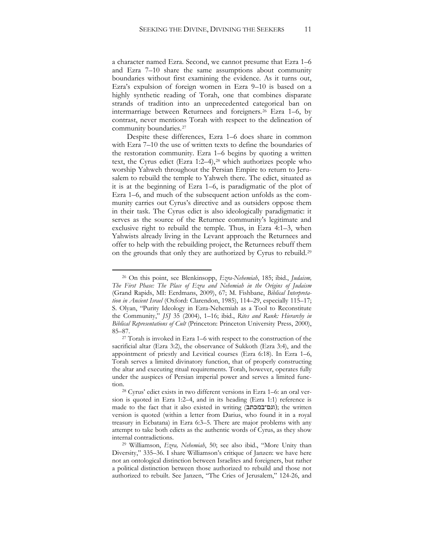a character named Ezra. Second, we cannot presume that Ezra 1–6 and Ezra 7–10 share the same assumptions about community boundaries without first examining the evidence. As it turns out, Ezra's expulsion of foreign women in Ezra 9–10 is based on a highly synthetic reading of Torah, one that combines disparate strands of tradition into an unprecedented categorical ban on intermarriage between Returnees and foreigners.[26](#page-11-0) Ezra 1–6, by contrast, never mentions Torah with respect to the delineation of community boundaries.[27](#page-11-1)

Despite these differences, Ezra 1–6 does share in common with Ezra 7–10 the use of written texts to define the boundaries of the restoration community. Ezra 1–6 begins by quoting a written text, the Cyrus edict (Ezra 1:2-4),<sup>[28](#page-11-2)</sup> which authorizes people who worship Yahweh throughout the Persian Empire to return to Jerusalem to rebuild the temple to Yahweh there. The edict, situated as it is at the beginning of Ezra 1–6, is paradigmatic of the plot of Ezra 1–6, and much of the subsequent action unfolds as the community carries out Cyrus's directive and as outsiders oppose them in their task. The Cyrus edict is also ideologically paradigmatic: it serves as the source of the Returnee community's legitimate and exclusive right to rebuild the temple. Thus, in Ezra 4:1–3, when Yahwists already living in the Levant approach the Returnees and offer to help with the rebuilding project, the Returnees rebuff them on the grounds that only they are authorized by Cyrus to rebuild.[29](#page-11-3)

<span id="page-11-0"></span><sup>26</sup> On this point, see Blenkinsopp, *Ezra-Nehemiah*, 185; ibid., *Judaism, The First Phase: The Place of Ezra and Nehemiah in the Origins of Judaism* (Grand Rapids, MI: Eerdmans, 2009), 67; M. Fishbane, *Biblical Interpretation in Ancient Israel* (Oxford: Clarendon, 1985), 114–29, especially 115–17; S. Olyan, "Purity Ideology in Ezra-Nehemiah as a Tool to Reconstitute the Community," *JSJ* 35 (2004), 1–16; ibid., *Rites and Rank: Hierarchy in Biblical Representations of Cult* (Princeton: Princeton University Press, 2000), 85–87.

<span id="page-11-1"></span><sup>27</sup> Torah is invoked in Ezra 1–6 with respect to the construction of the sacrificial altar (Ezra 3:2), the observance of Sukkoth (Ezra 3:4), and the appointment of priestly and Levitical courses (Ezra 6:18). In Ezra 1–6, Torah serves a limited divinatory function, that of properly constructing the altar and executing ritual requirements. Torah, however, operates fully under the auspices of Persian imperial power and serves a limited function.<br><sup>28</sup> Cyrus' edict exists in two different versions in Ezra 1–6: an oral ver-

<span id="page-11-2"></span>sion is quoted in Ezra 1:2–4, and in its heading (Ezra 1:1) reference is made to the fact that it also existed in writing (וגם־במכתב); the written version is quoted (within a letter from Darius, who found it in a royal treasury in Ecbatana) in Ezra 6:3–5. There are major problems with any attempt to take both edicts as the authentic words of Cyrus, as they show internal contradictions.

<span id="page-11-3"></span><sup>29</sup> Williamson, *Ezra, Nehemiah*, 50; see also ibid., "More Unity than Diversity," 335–36. I share Williamson's critique of Janzen: we have here not an ontological distinction between Israelites and foreigners, but rather a political distinction between those authorized to rebuild and those not authorized to rebuilt. See Janzen, "The Cries of Jerusalem," 124-26, and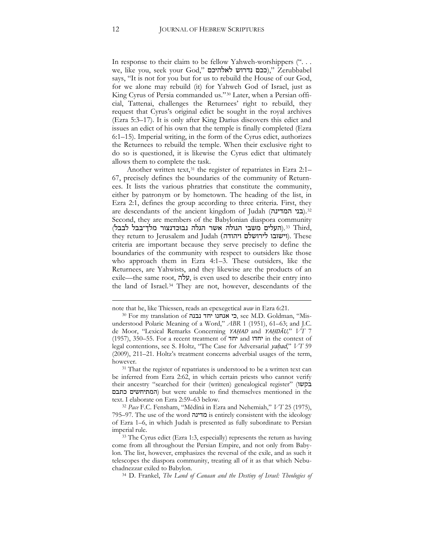In response to their claim to be fellow Yahweh-worshippers (". . . we, like you, seek your God," לאלהיכם)," Zerubbabel says, "It is not for you but for us to rebuild the House of our God, for we alone may rebuild (it) for Yahweh God of Israel, just as King Cyrus of Persia commanded us."<sup>30</sup> Later, when a Persian official, Tattenai, challenges the Returnees' right to rebuild, they request that Cyrus's original edict be sought in the royal archives (Ezra 5:3–17). It is only after King Darius discovers this edict and issues an edict of his own that the temple is finally completed (Ezra 6:1–15). Imperial writing, in the form of the Cyrus edict, authorizes the Returnees to rebuild the temple. When their exclusive right to do so is questioned, it is likewise the Cyrus edict that ultimately allows them to complete the task.

Another written text,<sup>31</sup> the register of repatriates in Ezra 2:1– 67, precisely defines the boundaries of the community of Returnees. It lists the various phratries that constitute the community, either by patronym or by hometown. The heading of the list, in Ezra 2:1, defines the group according to three criteria. First, they are descendants of the ancient kingdom of Judah (**בני המדינה**).<sup>32</sup> Second, they are members of the Babylonian diaspora community *<sup>F</sup>*.*3*)העלים משבי הגולה אשר הגלה נבוכדנצור מלך־בבל לבבל) <sup>33</sup> Third, they return to Jerusalem and Judah (ויהודה לירושלם וישובו(. These criteria are important because they serve precisely to define the boundaries of the community with respect to outsiders like those who approach them in Ezra 4:1–3. These outsiders, like the Returnees, are Yahwists, and they likewise are the products of an exile—the same root, עלה, is even used to describe their entry into the land of Israel.<sup>34</sup> They are not, however, descendants of the

note that he, like Thiessen, reads an epexegetical *waw* in Ezra 6:21.

<sup>30</sup> For my translation of נבנה יחד אנחנו כי, see M.D. Goldman, "Misunderstood Polaric Meaning of a Word," *ABR* 1 (1951), 61–63; and J.C. de Moor, "Lexical Remarks Concerning YAḤAD and YAḤDĀU*,*" *VT* 7 (1957), 350–55. For a recent treatment of  $\pi$ יחדו and  $\pi$  in the context of legal contentions, see S. Holtz, "The Case for Adversarial yaḥad," *VT* 59 (2009), 211–21. Holtz's treatment concerns adverbial usages of the term, however.

<sup>&</sup>lt;sup>31</sup> That the register of repatriates is understood to be a written text can be inferred from Ezra 2:62, in which certain priests who cannot verify their ancestry "searched for their (written) genealogical register" (בקשו כתבם המתיחשים (but were unable to find themselves mentioned in the text. I elaborate on Ezra 2:59–63 below.

<sup>32</sup> *Pace* F.C. Fensham, "Mědînâ in Ezra and Nehemiah," *VT* 25 (1975), 795–97. The use of the word מדינה is entirely consistent with the ideology of Ezra 1–6, in which Judah is presented as fully subordinate to Persian imperial rule.

<sup>33</sup> The Cyrus edict (Ezra 1:3, especially) represents the return as having come from all throughout the Persian Empire, and not only from Babylon. The list, however, emphasizes the reversal of the exile, and as such it telescopes the diaspora community, treating all of it as that which Nebuchadnezzar exiled to Babylon.

<sup>34</sup> D. Frankel, *The Land of Canaan and the Destiny of Israel: Theologies of*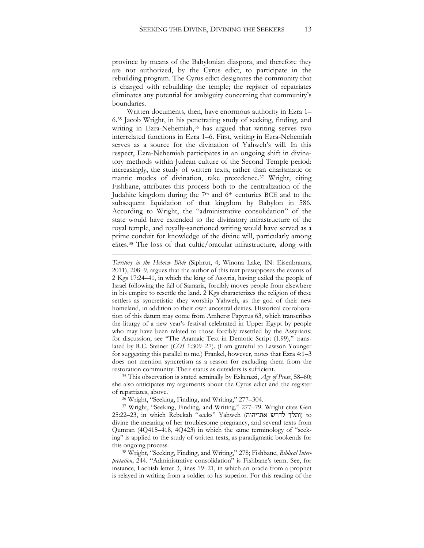province by means of the Babylonian diaspora, and therefore they are not authorized, by the Cyrus edict, to participate in the rebuilding program. The Cyrus edict designates the community that is charged with rebuilding the temple; the register of repatriates eliminates any potential for ambiguity concerning that community's boundaries.

Written documents, then, have enormous authority in Ezra 1– 6.[35](#page-13-0) Jacob Wright, in his penetrating study of seeking, finding, and writing in Ezra-Nehemiah,<sup>[36](#page-13-1)</sup> has argued that writing serves two interrelated functions in Ezra 1–6. First, writing in Ezra-Nehemiah serves as a source for the divination of Yahweh's will. In this respect, Ezra-Nehemiah participates in an ongoing shift in divinatory methods within Judean culture of the Second Temple period: increasingly, the study of written texts, rather than charismatic or mantic modes of divination, take precedence.[37](#page-13-2) Wright, citing Fishbane, attributes this process both to the centralization of the Judahite kingdom during the 7th and 6th centuries BCE and to the subsequent liquidation of that kingdom by Babylon in 586. According to Wright, the "administrative consolidation" of the state would have extended to the divinatory infrastructure of the royal temple, and royally-sanctioned writing would have served as a prime conduit for knowledge of the divine will, particularly among elites.[38](#page-13-3) The loss of that cultic/oracular infrastructure, along with

<span id="page-13-0"></span><sup>35</sup> This observation is stated seminally by Eskenazi, *Age of Prose*, 58–60; she also anticipates my arguments about the Cyrus edict and the register of repatriates, above.

<sup>36</sup> Wright, "Seeking, Finding, and Writing," 277–304.

 $\overline{a}$ 

<span id="page-13-2"></span><span id="page-13-1"></span><sup>37</sup> Wright, "Seeking, Finding, and Writing," 277–79. Wright cites Gen 25:22–23, in which Rebekah "seeks" Yahweh (ותלך לדרש את־יהוה) to divine the meaning of her troublesome pregnancy, and several texts from Qumran (4Q415–418, 4Q423) in which the same terminology of "seeking" is applied to the study of written texts, as paradigmatic bookends for this ongoing process.

<span id="page-13-3"></span><sup>38</sup> Wright, "Seeking, Finding, and Writing," 278; Fishbane, *Biblical Interpretation*, 244. "Administrative consolidation" is Fishbane's term. See, for instance, Lachish letter 3, lines 19–21, in which an oracle from a prophet is relayed in writing from a soldier to his superior. For this reading of the

*Territory in the Hebrew Bible* (Siphrut, 4; Winona Lake, IN: Eisenbrauns, 2011), 208–9, argues that the author of this text presupposes the events of 2 Kgs 17:24–41, in which the king of Assyria, having exiled the people of Israel following the fall of Samaria, forcibly moves people from elsewhere in his empire to resettle the land. 2 Kgs characterizes the religion of these settlers as syncretistic: they worship Yahweh, as the god of their new homeland, in addition to their own ancestral deities. Historical corroboration of this datum may come from Amherst Papyrus 63, which transcribes the liturgy of a new year's festival celebrated in Upper Egypt by people who may have been related to those forcibly resettled by the Assyrians; for discussion, see "The Aramaic Text in Demotic Script (1.99)," translated by R.C. Steiner (*COS* 1:309–27). (I am grateful to Lawson Younger for suggesting this parallel to me.) Frankel, however, notes that Ezra 4:1–3 does not mention syncretism as a reason for excluding them from the restoration community. Their status as outsiders is sufficient.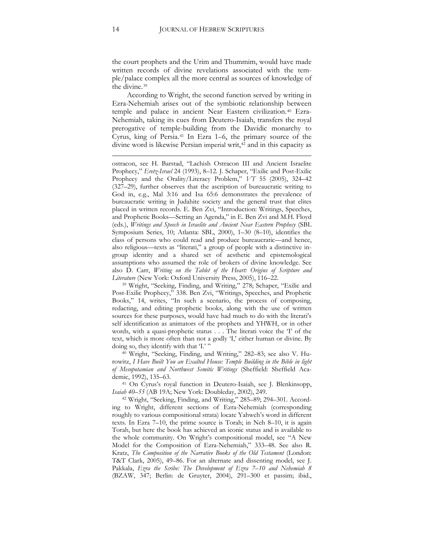the court prophets and the Urim and Thummim, would have made written records of divine revelations associated with the temple/palace complex all the more central as sources of knowledge of the divine.[39](#page-14-0)

According to Wright, the second function served by writing in Ezra-Nehemiah arises out of the symbiotic relationship between temple and palace in ancient Near Eastern civilization.<sup>[40](#page-14-1)</sup> Ezra-Nehemiah, taking its cues from Deutero-Isaiah, transfers the royal prerogative of temple-building from the Davidic monarchy to Cyrus, king of Persia.[41](#page-14-2) In Ezra 1–6, the primary source of the divine word is likewise Persian imperial writ,<sup>[42](#page-14-3)</sup> and in this capacity as

ostracon, see H. Barstad, "Lachish Ostracon III and Ancient Israelite Prophecy," *Eretz-Israel* 24 (1993), 8–12. J. Schaper, "Exilic and Post-Exilic Prophecy and the Orality/Literacy Problem," *VT* 55 (2005), 324–42 (327–29), further observes that the ascription of bureaucratic writing to God in, e.g., Mal 3:16 and Isa 65:6 demonstrates the prevalence of bureaucratic writing in Judahite society and the general trust that elites placed in written records. E. Ben Zvi, "Introduction: Writings, Speeches, and Prophetic Books—Setting an Agenda," in E. Ben Zvi and M.H. Floyd (eds.), *Writings and Speech in Israelite and Ancient Near Eastern Prophecy* (SBL Symposium Series, 10; Atlanta: SBL, 2000), 1–30 (8–10), identifies the class of persons who could read and produce bureaucratic—and hence, also religious—texts as "literati," a group of people with a distinctive ingroup identity and a shared set of aesthetic and epistemological assumptions who assumed the role of brokers of divine knowledge. See also D. Carr, *Writing on the Tablet of the Heart: Origins of Scripture and Literature* (New York: Oxford University Press, 2005), 116–22.

<span id="page-14-0"></span><sup>39</sup> Wright, "Seeking, Finding, and Writing," 278; Schaper, "Exilic and Post-Exilic Prophecy," 338. Ben Zvi, "Writings, Speeches, and Prophetic Books," 14, writes, "In such a scenario, the process of composing, redacting, and editing prophetic books, along with the use of written sources for these purposes, would have had much to do with the literati's self identification as animators of the prophets and YHWH, or in other words, with a quasi-prophetic status . . . The literati voice the 'I' of the text, which is more often than not a godly 'I,' either human or divine. By doing so, they identify with that 'I.' "

<span id="page-14-1"></span><sup>40</sup> Wright, "Seeking, Finding, and Writing," 282–83; see also V. Hurowitz, *I Have Built You an Exalted House: Temple Building in the Bible in light of Mesopotamian and Northwest Semitic Writings* (Sheffield: Sheffield Academic, 1992), 135–63.

<span id="page-14-2"></span><sup>41</sup> On Cyrus's royal function in Deutero-Isaiah, see J. Blenkinsopp, *Isaiah 40–55* (AB 19A; New York: Doubleday, 2002), 249.

<span id="page-14-3"></span><sup>42</sup> Wright, "Seeking, Finding, and Writing," 285–89; 294–301. According to Wright, different sections of Ezra-Nehemiah (corresponding roughly to various compositional strata) locate Yahweh's word in different texts. In Ezra 7–10, the prime source is Torah; in Neh 8–10, it is again Torah, but here the book has achieved an iconic status and is available to the whole community. On Wright's compositional model, see "A New Model for the Composition of Ezra-Nehemiah," 333–48. See also R. Kratz, *The Composition of the Narrative Books of the Old Testament* (London: T&T Clark, 2005), 49–86. For an alternate and dissenting model, see J. Pakkala, *Ezra the Scribe: The Development of Ezra 7–10 and Nehemiah 8* (BZAW, 347; Berlin: de Gruyter, 2004), 291–300 et passim; ibid.,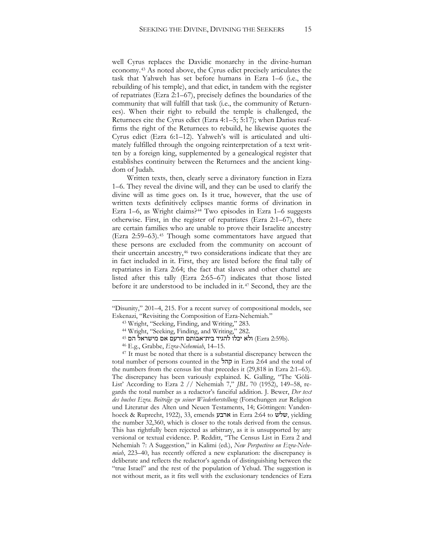well Cyrus replaces the Davidic monarchy in the divine-human economy.[43](#page-15-0) As noted above, the Cyrus edict precisely articulates the task that Yahweh has set before humans in Ezra 1–6 (i.e., the rebuilding of his temple), and that edict, in tandem with the register of repatriates (Ezra 2:1–67), precisely defines the boundaries of the community that will fulfill that task (i.e., the community of Returnees). When their right to rebuild the temple is challenged, the Returnees cite the Cyrus edict (Ezra 4:1–5; 5:17); when Darius reaffirms the right of the Returnees to rebuild, he likewise quotes the Cyrus edict (Ezra 6:1–12). Yahweh's will is articulated and ultimately fulfilled through the ongoing reinterpretation of a text written by a foreign king, supplemented by a genealogical register that establishes continuity between the Returnees and the ancient kingdom of Judah.

Written texts, then, clearly serve a divinatory function in Ezra 1–6. They reveal the divine will, and they can be used to clarify the divine will as time goes on. Is it true, however, that the use of written texts definitively eclipses mantic forms of divination in Ezra 1–6, as Wright claims?<sup>[44](#page-15-1)</sup> Two episodes in Ezra 1–6 suggests otherwise. First, in the register of repatriates (Ezra 2:1–67), there are certain families who are unable to prove their Israelite ancestry (Ezra 2:59–63).[45](#page-15-2) Though some commentators have argued that these persons are excluded from the community on account of their uncertain ancestry,<sup>[46](#page-15-3)</sup> two considerations indicate that they are in fact included in it. First, they are listed before the final tally of repatriates in Ezra 2:64; the fact that slaves and other chattel are listed after this tally (Ezra 2:65–67) indicates that those listed before it are understood to be included in it.[47](#page-15-4) Second, they are the

<span id="page-15-1"></span><span id="page-15-0"></span><sup>&</sup>quot;Disunity," 201–4, 215. For a recent survey of compositional models, see Eskenazi, "Revisiting the Composition of Ezra-Nehemiah."

<sup>43</sup> Wright, "Seeking, Finding, and Writing," 283.

<sup>44</sup> Wright, "Seeking, Finding, and Writing," 282.

<sup>45</sup> הם מישראל אם וזרעם בית־אבותם להגיד יכלו ולא) Ezra 2:59b).

<sup>46</sup> E.g., Grabbe, *Ezra-Nehemiah*, 14–15.

<span id="page-15-4"></span><span id="page-15-3"></span><span id="page-15-2"></span><sup>&</sup>lt;sup>47</sup> It must be noted that there is a substantial discrepancy between the total number of persons counted in the קהל in Ezra 2:64 and the total of the numbers from the census list that precedes it (29,818 in Ezra 2:1–63). The discrepancy has been variously explained. K. Galling, "The 'Gōlā-List' According to Ezra 2 // Nehemiah 7," *JBL* 70 (1952), 149–58, regards the total number as a redactor's fanciful addition. J. Bewer, *Der text des buches Ezra. Beiträge zu seiner Wiederherstellung* (Forschungen zur Religion und Literatur des Alten und Neuen Testaments, 14; Göttingen: Vandenhoeck & Ruprecht, 1922), 33, emends ארבע in Ezra 2:64 to שלש, yielding the number 32,360, which is closer to the totals derived from the census. This has rightfully been rejected as arbitrary, as it is unsupported by any versional or textual evidence. P. Redditt, "The Census List in Ezra 2 and Nehemiah 7: A Suggestion," in Kalimi (ed.), *New Perspectives on Ezra-Nehemiah*, 223–40, has recently offered a new explanation: the discrepancy is deliberate and reflects the redactor's agenda of distinguishing between the "true Israel" and the rest of the population of Yehud. The suggestion is not without merit, as it fits well with the exclusionary tendencies of Ezra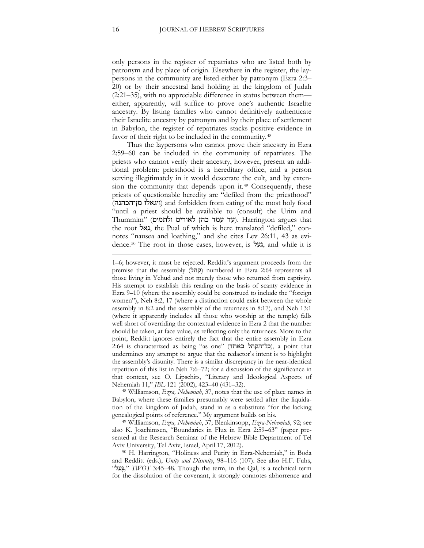only persons in the register of repatriates who are listed both by patronym and by place of origin. Elsewhere in the register, the laypersons in the community are listed either by patronym (Ezra 2:3– 20) or by their ancestral land holding in the kingdom of Judah (2:21–35), with no appreciable difference in status between them either, apparently, will suffice to prove one's authentic Israelite ancestry. By listing families who cannot definitively authenticate their Israelite ancestry by patronym and by their place of settlement in Babylon, the register of repatriates stacks positive evidence in favor of their right to be included in the community.<sup>[48](#page-16-0)</sup>

Thus the laypersons who cannot prove their ancestry in Ezra 2:59–60 can be included in the community of repatriates. The priests who cannot verify their ancestry, however, present an additional problem: priesthood is a hereditary office, and a person serving illegitimately in it would desecrate the cult, and by extension the community that depends upon it.<sup>49</sup> Consequently, these priests of questionable heredity are "defiled from the priesthood" (מן־הכהנה ויגאלו (and forbidden from eating of the most holy food "until a priest should be available to (consult) the Urim and  $T$ hummim" (עד עמד כהן לאורים ולתמים). Harrington argues that the root גאל, the Pual of which is here translated "defiled," connotes "nausea and loathing," and she cites Lev 26:11, 43 as evidence.<sup>50</sup> The root in those cases, however, is **געל**, and while it is

<span id="page-16-0"></span><sup>48</sup> Williamson, *Ezra, Nehemiah*, 37, notes that the use of place names in Babylon, where these families presumably were settled after the liquidation of the kingdom of Judah, stand in as a substitute "for the lacking genealogical points of reference." My argument builds on his.

<sup>49</sup> Williamson, *Ezra, Nehemiah*, 37; Blenkinsopp, *Ezra-Nehemiah*, 92; see also K. Joachimsen, "Boundaries in Flux in Ezra 2:59–63" (paper presented at the Research Seminar of the Hebrew Bible Department of Tel Aviv University, Tel Aviv, Israel, April 17, 2012).

<sup>50</sup> H. Harrington, "Holiness and Purity in Ezra-Nehemiah," in Boda and Redditt (eds.), *Unity and Disunity*, 98–116 (107). See also H.F. Fuhs, "ל ַעָגּ, "*TWOT* 3:45–48. Though the term, in the Qal, is a technical term for the dissolution of the covenant, it strongly connotes abhorrence and

<sup>1–6;</sup> however, it must be rejected. Redditt's argument proceeds from the premise that the assembly (קהל) numbered in Ezra 2:64 represents all those living in Yehud and not merely those who returned from captivity. His attempt to establish this reading on the basis of scanty evidence in Ezra 9–10 (where the assembly could be construed to include the "foreign women"), Neh 8:2, 17 (where a distinction could exist between the whole assembly in 8:2 and the assembly of the returnees in 8:17), and Neh 13:1 (where it apparently includes all those who worship at the temple) falls well short of overriding the contextual evidence in Ezra 2 that the number should be taken, at face value, as reflecting only the returnees. More to the point, Redditt ignores entirely the fact that the entire assembly in Ezra  $2:64$  is characterized as being "as one" (כל־הקהל באחד), a point that undermines any attempt to argue that the redactor's intent is to highlight the assembly's disunity. There is a similar discrepancy in the near-identical repetition of this list in Neh 7:6–72; for a discussion of the significance in that context, see O. Lipschits, "Literary and Ideological Aspects of Nehemiah 11," *JBL* 121 (2002), 423–40 (431–32).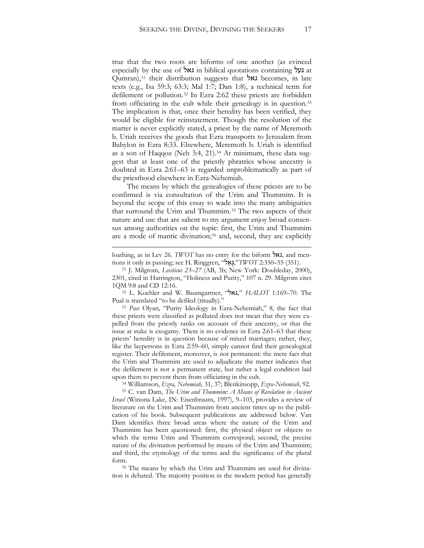true that the two roots are biforms of one another (as evinced especially by the use of גאל in biblical quotations containing געל at Qumran),<sup>51</sup> their distribution suggests that גאל becomes, in late texts (e.g., Isa 59:3; 63:3; Mal 1:7; Dan 1:8), a technical term for defilement or pollution.<sup>52</sup> In Ezra 2:62 these priests are forbidden from officiating in the cult while their genealogy is in question.<sup>53</sup> The implication is that, once their heredity has been verified, they would be eligible for reinstatement. Though the resolution of the matter is never explicitly stated, a priest by the name of Meremoth b. Uriah receives the goods that Ezra transports to Jerusalem from Babylon in Ezra 8:33. Elsewhere, Meremoth b. Uriah is identified as a son of Haqqoz (Neh 3:4, 21).<sup>54</sup> At minimum, these data suggest that at least one of the priestly phratries whose ancestry is doubted in Ezra 2:61–63 is regarded unproblematically as part of the priesthood elsewhere in Ezra-Nehemiah.

The means by which the genealogies of these priests are to be confirmed is via consultation of the Urim and Thummim. It is beyond the scope of this essay to wade into the many ambiguities that surround the Urim and Thummim.<sup>55</sup> The two aspects of their nature and use that are salient to my argument enjoy broad consensus among authorities on the topic: first, the Urim and Thummim are a mode of mantic divination;<sup>56</sup> and, second, they are explicitly

 $\overline{a}$ 

<sup>52</sup> L. Koehler and W. Baumgartner, "גאל, "*HALOT* 1:169–70. The Pual is translated "to be defiled (ritually)."

<sup>53</sup> *Pace* Olyan, "Purity Ideology in Ezra-Nehemiah," 8, the fact that these priests were classified as polluted does not mean that they were expelled from the priestly ranks on account of their ancestry, or that the issue at stake is exogamy. There is no evidence in Ezra 2:61–63 that these priests' heredity is in question because of mixed marriages; rather, they, like the laypersons in Ezra 2:59–60, simply cannot find their genealogical register. Their defilement, moreover, is not permanent: the mere fact that the Urim and Thummim are used to adjudicate the matter indicates that the defilement is not a permanent state, but rather a legal condition laid upon them to prevent them from officiating in the cult.

<sup>54</sup> Williamson, *Ezra, Nehemiah,* 31, 37; Blenkinsopp, *Ezra-Nehemiah*, 92. 55 C. van Dam, *The Urim and Thummim: A Means of Revelation in Ancient Israel* (Winona Lake, IN: Eisenbrauns, 1997), 9–103, provides a review of literature on the Urim and Thummim from ancient times up to the publication of his book. Subsequent publications are addressed below. Van Dam identifies three broad areas where the nature of the Urim and Thummim has been questioned: first, the physical object or objects to which the terms Urim and Thummim correspond; second, the precise nature of the divination performed by means of the Urim and Thummim; and third, the etymology of the terms and the significance of the plural form.

<sup>56</sup> The means by which the Urim and Thummim are used for divination is debated. The majority position in the modern period has generally

loathing, as in Lev 26. *TWOT* has no entry for the biform גאל, and mentions it only in passing; see H. Ringgren, "ל ַא ָגּ,"*TWOT* 2:350–55 (351).

<sup>51</sup> J. Milgrom, *Leviticus 23–27* (AB, 3b; New York: Doubleday, 2000), 2301, cited in Harrington, "Holiness and Purity," 107 n. 29. Milgrom cites 1QM 9:8 and CD 12:16.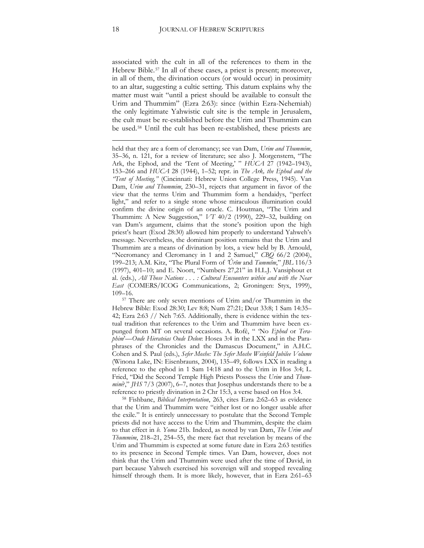associated with the cult in all of the references to them in the Hebrew Bible.<sup>[57](#page-18-0)</sup> In all of these cases, a priest is present; moreover, in all of them, the divination occurs (or would occur) in proximity to an altar, suggesting a cultic setting. This datum explains why the matter must wait "until a priest should be available to consult the Urim and Thummim" (Ezra 2:63): since (within Ezra-Nehemiah) the only legitimate Yahwistic cult site is the temple in Jerusalem, the cult must be re-established before the Urim and Thummim can be used.[58](#page-18-1) Until the cult has been re-established, these priests are

held that they are a form of cleromancy; see van Dam, *Urim and Thummim*, 35–36, n. 121, for a review of literature; see also J. Morgenstern, "The Ark, the Ephod, and the 'Tent of Meeting,' " *HUCA* 27 (1942–1943), 153–266 and *HUCA* 28 (1944), 1–52; repr. in *The Ark, the Ephod and the "Tent of Meeting,"* (Cincinnati: Hebrew Union College Press, 1945). Van Dam, *Urim and Thummim*, 230–31, rejects that argument in favor of the view that the terms Urim and Thummim form a hendaidys, "perfect light," and refer to a single stone whose miraculous illumination could confirm the divine origin of an oracle. C. Houtman, "The Urim and Thummim: A New Suggestion," *VT* 40/2 (1990), 229–32, building on van Dam's argument, claims that the stone's position upon the high priest's heart (Exod 28:30) allowed him properly to understand Yahweh's message. Nevertheless, the dominant position remains that the Urim and Thummim are a means of divination by lots, a view held by B. Arnould, "Necromancy and Cleromancy in 1 and 2 Samuel," *CBQ* 66/2 (2004), 199–213; A.M. Kitz, "The Plural Form of *'Ûrîm* and *Tummîm*," *JBL* 116/3 (1997), 401–10; and E. Noort, "Numbers 27,21" in H.L.J. Vansiphout et al. (eds.), *All Those Nations . . . : Cultural Encounters within and with the Near East* (COMERS/ICOG Communications, 2; Groningen: Styx, 1999), 109–16.

<span id="page-18-0"></span><sup>57</sup> There are only seven mentions of Urim and/or Thummim in the Hebrew Bible: Exod 28:30; Lev 8:8; Num 27:21; Deut 33:8; 1 Sam 14:35– 42; Ezra 2:63 // Neh 7:65. Additionally, there is evidence within the textual tradition that references to the Urim and Thummim have been expunged from MT on several occasions. A. Rofé, " 'No *Ephod* or *Teraphim*'*—Oude Hierateias Oude Delon*: Hosea 3:4 in the LXX and in the Paraphrases of the Chronicles and the Damascus Document," in A.H.C. Cohen and S. Paul (eds.), *Sefer Moshe: The Sefer Moshe Weinfeld Jubilee Volume* (Winona Lake, IN: Eisenbrauns, 2004), 135–49, follows LXX in reading a reference to the ephod in 1 Sam 14:18 and to the Urim in Hos 3:4; L. Fried, "Did the Second Temple High Priests Possess the *Urim* and *Thummim*?," *JHS* 7/3 (2007), 6–7, notes that Josephus understands there to be a reference to priestly divination in 2 Chr 15:3, a verse based on Hos 3:4.

<span id="page-18-1"></span><sup>58</sup> Fishbane, *Biblical Interpretation*, 263, cites Ezra 2:62–63 as evidence that the Urim and Thummim were "either lost or no longer usable after the exile." It is entirely unnecessary to postulate that the Second Temple priests did not have access to the Urim and Thummim, despite the claim to that effect in *b. Yoma* 21b. Indeed, as noted by van Dam, *The Urim and Thummim*, 218–21, 254–55, the mere fact that revelation by means of the Urim and Thummim is expected at some future date in Ezra 2:63 testifies to its presence in Second Temple times. Van Dam, however, does not think that the Urim and Thummim were used after the time of David, in part because Yahweh exercised his sovereign will and stopped revealing himself through them. It is more likely, however, that in Ezra 2:61–63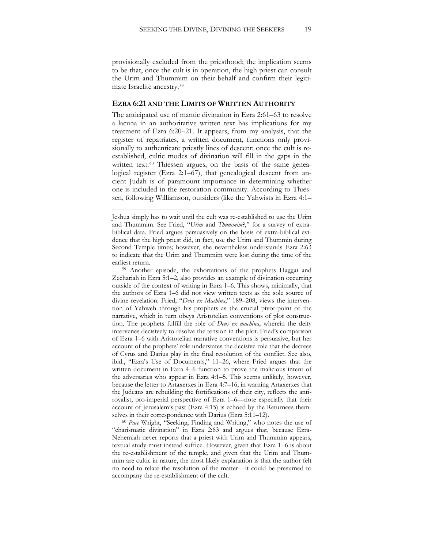provisionally excluded from the priesthood; the implication seems to be that, once the cult is in operation, the high priest can consult the Urim and Thummim on their behalf and confirm their legitimate Israelite ancestry.[59](#page-19-0)

#### **EZRA 6:21 AND THE LIMITS OF WRITTEN AUTHORITY**

The anticipated use of mantic divination in Ezra 2:61–63 to resolve a lacuna in an authoritative written text has implications for my treatment of Ezra 6:20–21. It appears, from my analysis, that the register of repatriates, a written document, functions only provisionally to authenticate priestly lines of descent; once the cult is reestablished, cultic modes of divination will fill in the gaps in the written text.<sup>[60](#page-19-1)</sup> Thiessen argues, on the basis of the same genealogical register (Ezra 2:1–67), that genealogical descent from ancient Judah is of paramount importance in determining whether one is included in the restoration community. According to Thiessen, following Williamson, outsiders (like the Yahwists in Ezra 4:1–

 $\overline{a}$ 

<span id="page-19-0"></span><sup>59</sup> Another episode, the exhortations of the prophets Haggai and Zechariah in Ezra 5:1–2, also provides an example of divination occurring outside of the context of writing in Ezra 1–6. This shows, minimally, that the authors of Ezra 1–6 did not view written texts as the sole source of divine revelation. Fried, "*Deus ex Machina*," 189–208, views the intervention of Yahweh through his prophets as the crucial pivot-point of the narrative, which in turn obeys Aristotelian conventions of plot construction. The prophets fulfill the role of *Deus ex machina*, wherein the deity intervenes decisively to resolve the tension in the plot. Fried's comparison of Ezra 1–6 with Aristotelian narrative conventions is persuasive, but her account of the prophets' role understates the decisive role that the decrees of Cyrus and Darius play in the final resolution of the conflict. See also, ibid., "Ezra's Use of Documents," 11–26, where Fried argues that the written document in Ezra 4–6 function to prove the malicious intent of the adversaries who appear in Ezra 4:1–5. This seems unlikely, however, because the letter to Artaxerxes in Ezra 4:7–16, in warning Artaxerxes that the Judeans are rebuilding the fortifications of their city, reflects the antiroyalist, pro-imperial perspective of Ezra 1–6—note especially that their account of Jerusalem's past (Ezra 4:15) is echoed by the Returnees themselves in their correspondence with Darius (Ezra 5:11–12).

<span id="page-19-1"></span><sup>60</sup> *Pace* Wright, "Seeking, Finding and Writing," who notes the use of "charismatic divination" in Ezra 2:63 and argues that, because Ezra-Nehemiah never reports that a priest with Urim and Thummim appears, textual study must instead suffice. However, given that Ezra 1–6 is about the re-establishment of the temple, and given that the Urim and Thummim are cultic in nature, the most likely explanation is that the author felt no need to relate the resolution of the matter—it could be presumed to accompany the re-establishment of the cult.

Jeshua simply has to wait until the cult was re-established to use the Urim and Thummim. See Fried, "*Urim* and *Thummim*?," for a survey of extrabiblical data. Fried argues persuasively on the basis of extra-biblical evidence that the high priest did, in fact, use the Urim and Thummin during Second Temple times; however, she nevertheless understands Ezra 2:63 to indicate that the Urim and Thummim were lost during the time of the earliest return.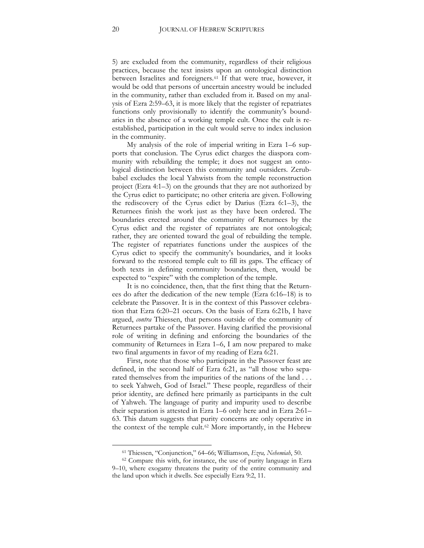5) are excluded from the community, regardless of their religious practices, because the text insists upon an ontological distinction between Israelites and foreigners.[61](#page-20-0) If that were true, however, it would be odd that persons of uncertain ancestry would be included in the community, rather than excluded from it. Based on my analysis of Ezra 2:59–63, it is more likely that the register of repatriates functions only provisionally to identify the community's boundaries in the absence of a working temple cult. Once the cult is reestablished, participation in the cult would serve to index inclusion in the community.

My analysis of the role of imperial writing in Ezra 1–6 supports that conclusion. The Cyrus edict charges the diaspora community with rebuilding the temple; it does not suggest an ontological distinction between this community and outsiders. Zerubbabel excludes the local Yahwists from the temple reconstruction project (Ezra 4:1–3) on the grounds that they are not authorized by the Cyrus edict to participate; no other criteria are given. Following the rediscovery of the Cyrus edict by Darius (Ezra 6:1–3), the Returnees finish the work just as they have been ordered. The boundaries erected around the community of Returnees by the Cyrus edict and the register of repatriates are not ontological; rather, they are oriented toward the goal of rebuilding the temple. The register of repatriates functions under the auspices of the Cyrus edict to specify the community's boundaries, and it looks forward to the restored temple cult to fill its gaps. The efficacy of both texts in defining community boundaries, then, would be expected to "expire" with the completion of the temple.

It is no coincidence, then, that the first thing that the Returnees do after the dedication of the new temple (Ezra 6:16–18) is to celebrate the Passover. It is in the context of this Passover celebration that Ezra 6:20–21 occurs. On the basis of Ezra 6:21b, I have argued, *contra* Thiessen, that persons outside of the community of Returnees partake of the Passover. Having clarified the provisional role of writing in defining and enforcing the boundaries of the community of Returnees in Ezra 1–6, I am now prepared to make two final arguments in favor of my reading of Ezra 6:21.

First, note that those who participate in the Passover feast are defined, in the second half of Ezra 6:21, as "all those who separated themselves from the impurities of the nations of the land . . . to seek Yahweh, God of Israel." These people, regardless of their prior identity, are defined here primarily as participants in the cult of Yahweh. The language of purity and impurity used to describe their separation is attested in Ezra 1–6 only here and in Ezra 2:61– 63. This datum suggests that purity concerns are only operative in the context of the temple cult.[62](#page-20-1) More importantly, in the Hebrew

<sup>61</sup> Thiessen, "Conjunction," 64–66; Williamson, *Ezra, Nehemiah*, 50.

<span id="page-20-1"></span><span id="page-20-0"></span><sup>&</sup>lt;sup>62</sup> Compare this with, for instance, the use of purity language in Ezra 9–10, where exogamy threatens the purity of the entire community and the land upon which it dwells. See especially Ezra 9:2, 11.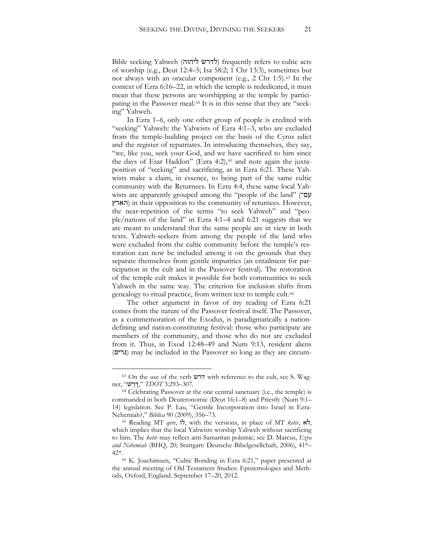Bible seeking Yahweh (לדרש ליהוה) frequently refers to cultic acts of worship (e.g., Deut 12:4–5; Isa 58:2; 1 Chr 13:3), sometimes but not always with an oracular component (e.g., 2 Chr 1:5).<sup>63</sup> In the context of Ezra 6:16–22, in which the temple is rededicated, it must mean that these persons are worshipping at the temple by participating in the Passover meal.<sup>64</sup> It is in this sense that they are "seeking" Yahweh.

In Ezra 1–6, only one other group of people is credited with "seeking" Yahweh: the Yahwists of Ezra 4:1–3, who are excluded from the temple-building project on the basis of the Cyrus edict and the register of repatriates. In introducing themselves, they say, "we, like you, seek your God, and we have sacrificed to him since the days of Esar Haddon" (Ezra 4:2),<sup>65</sup> and note again the juxtaposition of "seeking" and sacrificing, as in Ezra 6:21. These Yahwists make a claim, in essence, to being part of the same cultic community with the Returnees. In Ezra 4:4, these same local Yahwists are apparently grouped among the "people of the land" (עם־ הארץ (in their opposition to the community of returnees. However, the near-repetition of the terms "to seek Yahweh" and "people/nations of the land" in Ezra 4:1–4 and 6:21 suggests that we are meant to understand that the same people are in view in both texts. Yahweh-seekers from among the people of the land who were excluded from the cultic community before the temple's restoration can now be included among it on the grounds that they separate themselves from gentile impurities (an entailment for participation in the cult and in the Passover festival). The restoration of the temple cult makes it possible for both communities to seek Yahweh in the same way. The criterion for inclusion shifts from genealogy to ritual practice, from written text to temple cult.<sup>66</sup>

The other argument in favor of my reading of Ezra 6:21 comes from the nature of the Passover festival itself. The Passover, as a commemoration of the Exodus, is paradigmatically a nationdefining and nation-constituting festival: those who participate are members of the community, and those who do not are excluded from it. Thus, in Exod 12:48–49 and Num 9:13, resident aliens (גרים) may be included in the Passover so long as they are circum-

<sup>63</sup> On the use of the verb דרש with reference to the cult, see S. Wagner, "דָרָשׁ", "*דְרָש*", "*דָרָש* 

<sup>64</sup> Celebrating Passover at the one central sanctuary (i.e., the temple) is commanded in both Deuteronomic (Deut 16:1–8) and Priestly (Num 9:1– 14) legislation. See P. Lau, "Gentile Incorporation into Israel in Ezra-Nehemiah?," *Biblica* 90 (2009), 356–73.

<sup>65</sup> Reading MT *qere*, לו, with the versions, in place of MT *ketiv*, לא, which implies that the local Yahwists worship Yahweh without sacrificing to him. The *ketiv* may reflect anti-Samaritan polemic; see D. Marcus, *Ezra and Nehemiah* (BHQ, 20; Stuttgart: Deutsche Bibelgesellchaft, 2006), 41\*–

<sup>42\*.&</sup>lt;br><sup>66</sup> K. Joachimsen, "Cultic Bonding in Ezra 6:21," paper presented at the annual meeting of Old Testament Studies: Epistemologies and Methods, Oxford, England. September 17–20, 2012.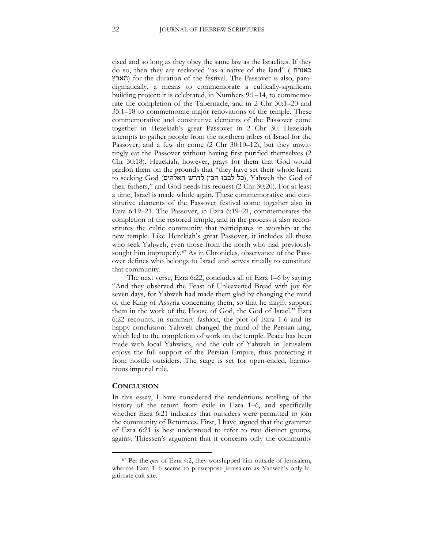cised and so long as they obey the same law as the Israelites. If they do so, then they are reckoned "as a native of the land" ( כאזרח הארץ (for the duration of the festival. The Passover is also, paradigmatically, a means to commemorate a cultically-significant building project: it is celebrated, in Numbers 9:1–14, to commemorate the completion of the Tabernacle, and in 2 Chr 30:1–20 and 35:1–18 to commemorate major renovations of the temple. These commemorative and constitutive elements of the Passover come together in Hezekiah's great Passover in 2 Chr 30. Hezekiah attempts to gather people from the northern tribes of Israel for the Passover, and a few do come (2 Chr 30:10–12), but they unwittingly eat the Passover without having first purified themselves (2 Chr 30:18). Hezekiah, however, prays for them that God would pardon them on the grounds that "they have set their whole heart to seeking God (האלהים לדרש האלהים), Yahweh the God of their fathers," and God heeds his request (2 Chr 30:20). For at least a time, Israel is made whole again. These commemorative and constitutive elements of the Passover festival come together also in Ezra 6:19–21. The Passover, in Ezra 6:19–21, commemorates the completion of the restored temple, and in the process it also reconstitutes the cultic community that participates in worship at the new temple. Like Hezekiah's great Passover, it includes all those who seek Yahweh, even those from the north who had previously sought him improperly.<sup>67</sup> As in Chronicles, observance of the Passover defines who belongs to Israel and serves ritually to constitute that community.

The next verse, Ezra 6:22, concludes all of Ezra 1–6 by saying: "And they observed the Feast of Unleavened Bread with joy for seven days, for Yahweh had made them glad by changing the mind of the King of Assyria concerning them, so that he might support them in the work of the House of God, the God of Israel." Ezra 6:22 recounts, in summary fashion, the plot of Ezra 1-6 and its happy conclusion: Yahweh changed the mind of the Persian king, which led to the completion of work on the temple. Peace has been made with local Yahwists, and the cult of Yahweh in Jerusalem enjoys the full support of the Persian Empire, thus protecting it from hostile outsiders. The stage is set for open-ended, harmonious imperial rule.

#### **CONCLUSION**

 $\overline{a}$ 

In this essay, I have considered the tendentious retelling of the history of the return from exile in Ezra 1–6, and specifically whether Ezra 6:21 indicates that outsiders were permitted to join the community of Returnees. First, I have argued that the grammar of Ezra 6:21 is best understood to refer to two distinct groups, against Thiessen's argument that it concerns only the community

<sup>67</sup> Per the *qere* of Ezra 4:2, they worshipped him outside of Jerusalem, whereas Ezra 1–6 seems to presuppose Jerusalem as Yahweh's only legitimate cult site.